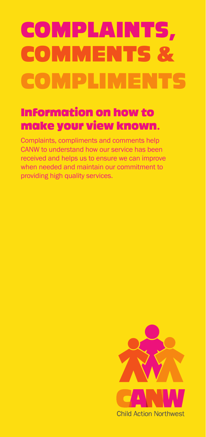# COMPLAINTS, **COMMENTS** COMPLIMENTS

# Information on how to make your view known.

Complaints, compliments and comments help CANW to understand how our service has been received and helps us to ensure we can improve when needed and maintain our commitment to providing high quality services.

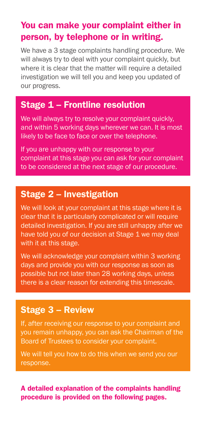#### You can make your complaint either in person, by telephone or in writing.

We have a 3 stage complaints handling procedure. We will always try to deal with your complaint quickly, but where it is clear that the matter will require a detailed investigation we will tell you and keep you updated of our progress.

#### Stage 1 – Frontline resolution

We will always try to resolve your complaint quickly, and within 5 working days wherever we can. It is most likely to be face to face or over the telephone.

If you are unhappy with our response to your complaint at this stage you can ask for your complaint to be considered at the next stage of our procedure.

### Stage 2 – Investigation

We will look at your complaint at this stage where it is clear that it is particularly complicated or will require detailed investigation. If you are still unhappy after we have told you of our decision at Stage 1 we may deal with it at this stage.

We will acknowledge your complaint within 3 working days and provide you with our response as soon as possible but not later than 28 working days, unless there is a clear reason for extending this timescale.

#### Stage 3 – Review

If, after receiving our response to your complaint and you remain unhappy, you can ask the Chairman of the Board of Trustees to consider your complaint.

We will tell you how to do this when we send you our response.

#### A detailed explanation of the complaints handling procedure is provided on the following pages.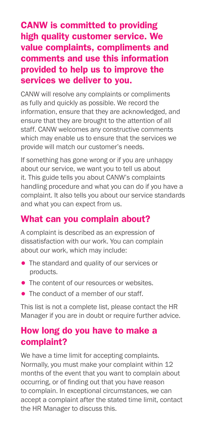## CANW is committed to providing high quality customer service. We value complaints, compliments and comments and use this information provided to help us to improve the services we deliver to you.

CANW will resolve any complaints or compliments as fully and quickly as possible. We record the information, ensure that they are acknowledged, and ensure that they are brought to the attention of all staff. CANW welcomes any constructive comments which may enable us to ensure that the services we provide will match our customer's needs.

If something has gone wrong or if you are unhappy about our service, we want you to tell us about it. This guide tells you about CANW's complaints handling procedure and what you can do if you have a complaint. It also tells you about our service standards and what you can expect from us.

## What can you complain about?

A complaint is described as an expression of dissatisfaction with our work. You can complain about our work, which may include:

- The standard and quality of our services or products.
- The content of our resources or websites.
- The conduct of a member of our staff.

This list is not a complete list, please contact the HR Manager if you are in doubt or require further advice.

## How long do you have to make a complaint?

We have a time limit for accepting complaints. Normally, you must make your complaint within 12 months of the event that you want to complain about occurring, or of finding out that you have reason to complain. In exceptional circumstances, we can accept a complaint after the stated time limit, contact the HR Manager to discuss this.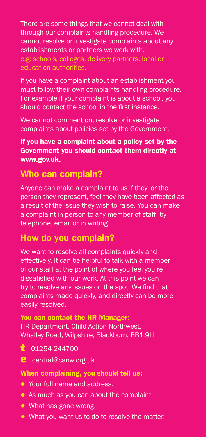There are some things that we cannot deal with through our complaints handling procedure. We cannot resolve or investigate complaints about any establishments or partners we work with. e.g: schools, colleges, delivery partners, local or education authorities.

If you have a complaint about an establishment you must follow their own complaints handling procedure. For example if your complaint is about a school, you should contact the school in the first instance.

We cannot comment on, resolve or investigate complaints about policies set by the Government.

#### If you have a complaint about a policy set by the Government you should contact them directly at www.gov.uk.

### Who can complain?

Anyone can make a complaint to us if they, or the person they represent, feel they have been affected as a result of the issue they wish to raise. You can make a complaint in person to any member of staff, by telephone, email or in writing.

## How do you complain?

We want to resolve all complaints quickly and effectively. It can be helpful to talk with a member of our staff at the point of where you feel you're dissatisfied with our work. At this point we can try to resolve any issues on the spot. We find that complaints made quickly, and directly can be more easily resolved.

You can contact the HR Manager: HR Department, Child Action Northwest, Whalley Road, Wilpshire, Blackburn, BB1 9LL

- t 01254 244700
- e central@canw.org.uk

#### When complaining, you should tell us:

- Your full name and address.
- As much as you can about the complaint.
- What has gone wrong.
- What you want us to do to resolve the matter.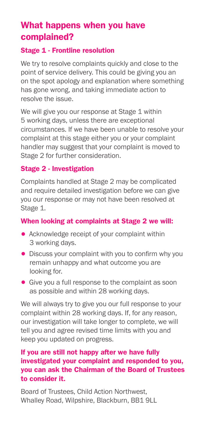## What happens when you have complained?

#### Stage 1 - Frontline resolution

We try to resolve complaints quickly and close to the point of service delivery. This could be giving you an on the spot apology and explanation where something has gone wrong, and taking immediate action to resolve the issue.

We will give vou our response at Stage 1 within 5 working days, unless there are exceptional circumstances. If we have been unable to resolve your complaint at this stage either you or your complaint handler may suggest that your complaint is moved to Stage 2 for further consideration.

#### Stage 2 - Investigation

Complaints handled at Stage 2 may be complicated and require detailed investigation before we can give you our response or may not have been resolved at Stage 1.

#### When looking at complaints at Stage 2 we will:

- Acknowledge receipt of your complaint within 3 working days.
- Discuss your complaint with you to confirm why you remain unhappy and what outcome you are looking for.
- Give you a full response to the complaint as soon as possible and within 28 working days.

We will always try to give you our full response to your complaint within 28 working days. If, for any reason, our investigation will take longer to complete, we will tell you and agree revised time limits with you and keep you updated on progress.

#### If you are still not happy after we have fully investigated your complaint and responded to you, you can ask the Chairman of the Board of Trustees to consider it.

Board of Trustees, Child Action Northwest, Whalley Road, Wilpshire, Blackburn, BB1 9LL